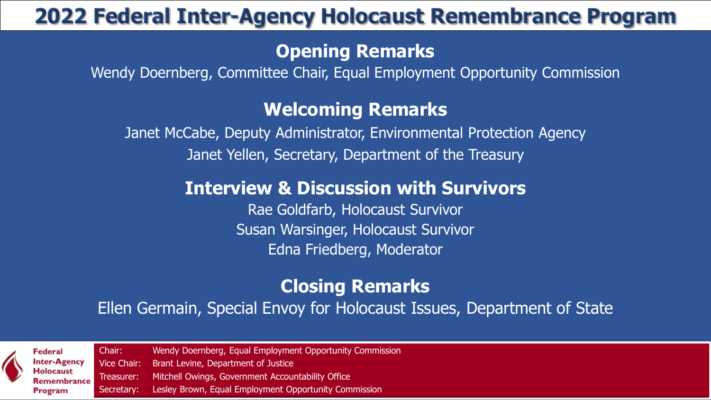## **2022 Federal Inter-Agency Holocaust Remembrance Program**

### **Opening Remarks**

Wendy Doernberg, Committee Chair, Equal Employment Opportunity Commission

### **Welcoming Remarks**

Janet McCabe, Deputy Administrator, Environmental Protection Agency Janet Yellen, Secretary, Department of the Treasury

### **Interview & Discussion with Survivors**

Rae Goldfarb, Holocaust Survivor Susan Warsinger, Holocaust Survivor Edna Friedberg, Moderator

## **Closing Remarks**

Ellen Germain, Special Envoy for Holocaust Issues, Department of State

**Federal** າter-Agency lolocaust emembrance Program

Chair: Wendy Doernberg, Equal Employment Opportunity Commission Vice Chair: Brant Levine, Department of Justice Treasurer: Mitchell Owings, Government Accountability Office Secretary: Lesley Brown, Equal Employment Opportunity Commission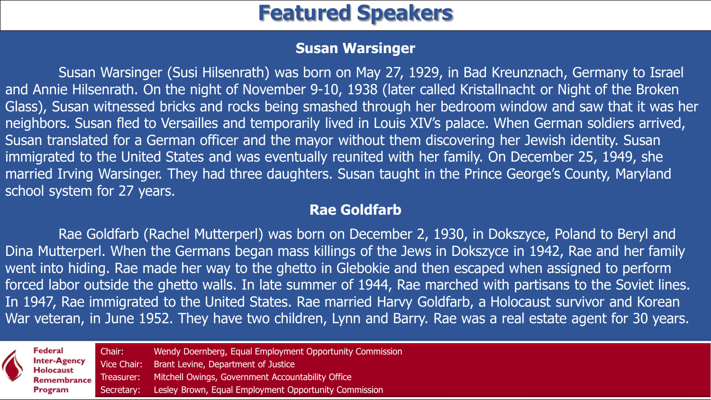## **Featured Speakers**

#### **Susan Warsinger**

Susan Warsinger (Susi Hilsenrath) was born on May 27, 1929, in Bad Kreunznach, Germany to Israel and Annie Hilsenrath. On the night of November 9-10, 1938 (later called Kristallnacht or Night of the Broken Glass), Susan witnessed bricks and rocks being smashed through her bedroom window and saw that it was her neighbors. Susan fled to Versailles and temporarily lived in Louis XIV's palace. When German soldiers arrived, Susan translated for a German officer and the mayor without them discovering her Jewish identity. Susan immigrated to the United States and was eventually reunited with her family. On December 25, 1949, she married Irving Warsinger. They had three daughters. Susan taught in the Prince George's County, Maryland school system for 27 years.

#### **Rae Goldfarb**

Rae Goldfarb (Rachel Mutterperl) was born on December 2, 1930, in Dokszyce, Poland to Beryl and Dina Mutterperl. When the Germans began mass killings of the Jews in Dokszyce in 1942, Rae and her family went into hiding. Rae made her way to the ghetto in Glebokie and then escaped when assigned to perform forced labor outside the ghetto walls. In late summer of 1944, Rae marched with partisans to the Soviet lines. In 1947, Rae immigrated to the United States. Rae married Harvy Goldfarb, a Holocaust survivor and Korean War veteran, in June 1952. They have two children, Lynn and Barry. Rae was a real estate agent for 30 years.

| $\blacktriangle$ | Federal<br><b>Inter-Agency</b><br>Holocaust<br>Program | Chair:     | Wendy Doernberg, Equal Employment Opportunity Commission<br>Vice Chair: Brant Levine, Department of Justice<br>Remembrance Treasurer: Mitchell Owings, Government Accountability Office |  |
|------------------|--------------------------------------------------------|------------|-----------------------------------------------------------------------------------------------------------------------------------------------------------------------------------------|--|
|                  |                                                        | Secretary: | Lesley Brown, Equal Employment Opportunity Commission                                                                                                                                   |  |